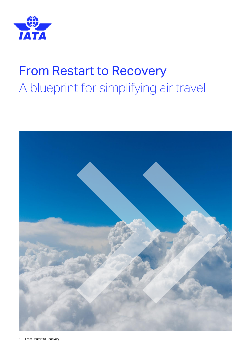

# From Restart to Recovery A blueprint for simplifying air travel

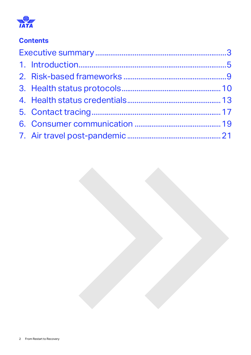

### **Contents**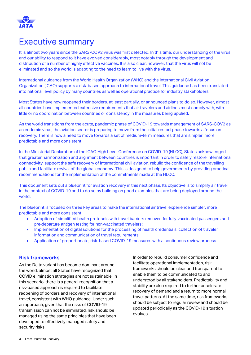

## <span id="page-2-0"></span>Executive summary

It is almost two years since the SARS-COV2 virus was first detected. In this time, our understanding of the virus and our ability to respond to it have evolved considerably, most notably through the development and distribution of a number of highly effective vaccines. It is also clear, however, that the virus will not be eliminated and so the world is adapting to the need to learn to live with the virus.

International guidance from the World Health Organization (WHO) and the International Civil Aviation Organization (ICAO) supports a risk-based approach to international travel. This guidance has been translated into national level policy by many countries as well as operational practice for industry stakeholders.

Most States have now reopened their borders, at least partially, or announced plans to do so. However, almost all countries have implemented extensive requirements that air travelers and airlines must comply with, with little or no coordination between countries or consistency in the measures being applied.

As the world transitions from the acute, pandemic phase of COVID-19 towards management of SARS-COV2 as an endemic virus, the aviation sector is preparing to move from the initial restart phase towards a focus on recovery. There is now a need to move towards a set of medium-term measures that are simpler, more predictable and more consistent.

In the Ministerial Declaration of the ICAO High Level Conference on COVID-19 (HLCC), States acknowledged that greater harmonization and alignment between countries is important in order to safely restore international connectivity, support the safe recovery of international civil aviation. rebuild the confidence of the travelling public and facilitate revival of the global economy. This is designed to help governments by providing practical recommendations for the implementation of the commitments made at the HLCC.

This document sets out a blueprint for aviation recovery in this next phase. Its objective is to simplify air travel in the context of COVID-19 and to do so by building on good examples that are being deployed around the world.

The blueprint is focused on three key areas to make the international air travel experience simpler, more predictable and more consistent:

- Adoption of simplified health protocols with travel barriers removed for fully vaccinated passengers and pre-departure antigen testing for non-vaccinated travelers;
- Implementation of digital solutions for the processing of health credentials, collection of traveler information and communication of travel requirements;
- Application of proportionate, risk-based COVID-19 measures with a continuous review process

#### **Risk frameworks**

As the Delta variant has become dominant around the world, almost all States have recognized that COVID elimination strategies are not sustainable. In this scenario, there is a general recognition that a risk-based approach is required to facilitate reopening of borders and recovery of international travel, consistent with WHO guidance. Under such an approach, given that the risks of COVID-19 transmission can not be eliminated, risk should be managed using the same principles that have been developed to effectively managed safety and security risks.

In order to rebuild consumer confidence and facilitate operational implementation, risk frameworks should be clear and transparent to enable them to be communicated to and understood by all stakeholders. Predictability and stability are also required to further accelerate recovery of demand and a return to more normal travel patterns. At the same time, risk frameworks should be subject to regular review and should be updated periodically as the COVID-19 situation evolves.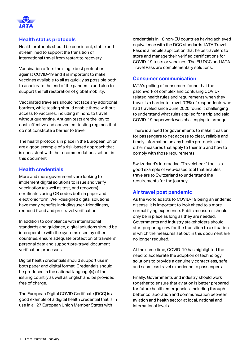

#### **Health status protocols**

Health protocols should be consistent, stable and streamlined to support the transition of international travel from restart to recovery.

Vaccination offers the single best protection against COVID-19 and it is important to make vaccines available to all as quickly as possible both to accelerate the end of the pandemic and also to support the full restoration of global mobility.

Vaccinated travelers should not face any additional barriers, while testing should enable those without access to vaccines, including minors, to travel without quarantine. Antigen tests are the key to cost-effective and convenient testing regimes that do not constitute a barrier to travel.

The health protocols in place in the European Union are a good example of a risk-based approach that is consistent with the recommendations set out in this document.

#### **Health credentials**

More and more governments are looking to implement digital solutions to issue and verify vaccination (as well as test, and recovery) certificates using QR codes both in paper and electronic form. Well-designed digital solutions have many benefits including user-friendliness, reduced fraud and pre-travel verification.

In addition to compliance with international standards and guidance, digital solutions should be interoperable with the systems used by other countries, ensure adequate protection of travelers' personal data and support pre-travel document verification processes.

Digital health credentials should support use in both paper and digital format. Credentials should be produced in the national language(s) of the issuing country as well as English and be provided free of charge.

The European Digital COVID Certificate (DCC) is a good example of a digital health credential that is in use in all 27 European Union Member States with

credentials in 18 non-EU countries having achieved equivalence with the DCC standards. IATA Travel Pass is a mobile application that helps travelers to store and manage their verified certifications for COVID-19 tests or vaccines. The EU DCC and IATA Travel Pass are complementary solutions.

#### **Consumer communication**

IATA's polling of consumers found that the patchwork of complex and confusing COVIDrelated health rules and requirements when they travel is a barrier to travel. 73% of respondents who had traveled since June 2020 found it challenging to understand what rules applied for a trip and said COVID-19 paperwork was challenging to arrange.

There is a need for governments to make it easier for passengers to get access to clear, reliable and timely information on any health protocols and other measures that apply to their trip and how to comply with those requirements.

Switzerland's interactive "Travelcheck" tool is a good example of web-based tool that enables travelers to Switzerland to understand the requirements for the journey.

#### **Air travel post pandemic**

As the world adapts to COVID-19 being an endemic disease, it is important to look ahead to a more normal flying experience. Public measures should only be in place as long as they are needed. Governments and industry stakeholders should start preparing now for the transition to a situation in which the measures set out in this document are no longer required.

At the same time, COVID-19 has highlighted the need to accelerate the adoption of technology solutions to provide a genuinely contactless, safe and seamless travel experience to passengers.

Finally, Governments and industry should work together to ensure that aviation is better prepared for future health emergencies, including through better collaboration and communication between aviation and health sector at local, national and international levels.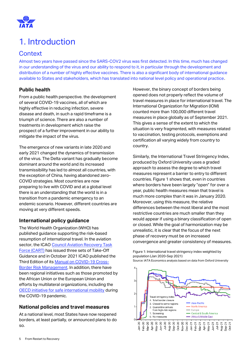

# <span id="page-4-0"></span>1. Introduction

### **Context**

Almost two years have passed since the SARS-COV2 virus was first detected. In this time, much has changed in our understanding of the virus and our ability to respond to it, in particular through the development and distribution of a number of highly effective vaccines. There is also a significant body of international guidance available to States and stakeholders, which has translated into national level policy and operational practice.

#### **Public health**

From a public health perspective. the development of several COVID-19 vaccines, all of which are highly effective in reducing infection, severe disease and death, in such a rapid timeframe is a triumph of science. There are also a number of treatments in development which raise the prospect of a further improvement in our ability to mitigate the impact of the virus.

The emergence of new variants in late 2020 and early 2021 changed the dynamics of transmission of the virus. The Delta variant has gradually become dominant around the world and its increased transmissibility has led to almost all countries, with the exception of China, having abandoned zero-COVID strategies. Most countries are now preparing to live with COVID and at a global level there is an understanding that the world is in a transition from a pandemic emergency to an endemic scenario. However, different countries are moving at very different speeds.

#### **International policy guidance**

The World Health Organization (WHO) has published guidance supporting the risk-based resumption of international travel. In the aviation sector, the ICAO Council Aviation Recovery Task [Force \(CART\)](https://www.icao.int/covid/cart/Pages/default.aspx) has issued three sets of Take-Off Guidance and in October 2021 ICAO published the Third Edition of it[s Manual on COVID-19 Cross-](https://www.icao.int/covid/cart/Documents/10152_manual_3rd_edition.en.pdf)[Border Risk Management.](https://www.icao.int/covid/cart/Documents/10152_manual_3rd_edition.en.pdf) In addition, there have been regional initiatives such as those promoted by the African Union or the European Union and efforts by multilateral organizations, including the [OECD initiative for safe international mobility](https://www.oecd.org/coronavirus/policy-responses/oecd-initiative-for-safe-international-mobility-during-the-covid-19-pandemic-including-blueprint-d0594162/) during the COVID-19 pandemic.

#### **National policies and travel measures**

At a national level, most States have now reopened borders, at least partially, or announced plans to do so.

However, the binary concept of borders being opened does not properly reflect the volume of travel measures in place for international travel. The International Organization for Migration (IOM) counted more than 100,000 different travel measures in place globally as of September 2021. This gives a sense of the extent to which the situation is very fragmented, with measures related to vaccination, testing protocols, exemptions and certification all varying widely from country to country.

Similarly, the International Travel Stringency Index, produced by Oxford University uses a graded approach to assess the degree to which travel measures represent a barrier to entry to different countries. Figure 1 shows that, even in countries where borders have been largely "open" for over a year, public health measures mean that travel is much more complex than it was in January 2020. Moreover, using this measure, the relative differences between the most liberal and the most restrictive countries are much smaller than they would appear if using a binary classification of open or closed. While the goal of harmonization may be unrealistic, it is clear that the focus of the next phase of recovery must be on increased convergence and greater consistency of measures.

Figure 1: International travel stringency index weighted by population (Jan 2020-Sep 2021) Source: IATA Economics analysis based on data from Oxford University

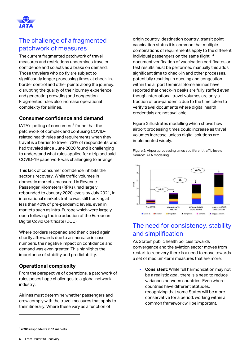

### The challenge of a fragmented patchwork of measures

The current fragmented patchwork of travel measures and restrictions undermines traveler confidence and so acts as a brake on demand. Those travelers who do fly are subject to significantly longer processing times at check-in, border control and other points along the journey, disrupting the quality of their journey experience and generating crowding and congestion. Fragmented rules also increase operational complexity for airlines.

#### **Consumer confidence and demand**

IATA's polling of consumers<sup>1</sup> found that the patchwork of complex and confusing COVIDrelated health rules and requirements when they travel is a barrier to travel. 73% of respondents who had traveled since June 2020 found it challenging to understand what rules applied for a trip and said COVID-19 paperwork was challenging to arrange.

This lack of consumer confidence inhibits the sector's recovery. While traffic volumes in domestic markets, measured in Revenue Passenger Kilometers (RPKs), had largely rebounded to January 2020 levels by July 2021, in international markets traffic was still tracking at less than 40% of pre-pandemic levels, even in markets such as intra-Europe which were largely open following the introduction of the European Digital Covid Certificate (DCC).

Where borders reopened and then closed again shortly afterwards due to an increase in case numbers, the negative impact on confidence and demand was even greater. This highlights the importance of stability and predictability.

#### **Operational complexity**

From the perspective of operations, a patchwork of rules poses huge challenges to a global network industry.

Airlines must determine whether passengers and crew comply with the travel measures that apply to their itinerary. Where these vary as a function of

origin country, destination country, transit point, vaccination status it is common that multiple combinations of requirements apply to the different individual passengers on the same flight. If document verification of vaccination certificates or test results must be performed manually this adds significant time to check-in and other processes, potentially resulting in queuing and congestion within the airport terminal. Some airlines have reported that check-in desks are fully staffed even though international travel volumes are only a fraction of pre-pandemic due to the time taken to verify travel documents where digital health credentials are not available.

Figure 2 illustrates modelling which shows how airport processing times could increase as travel volumes increase, unless digital solutions are implemented widely.

Figure 2: Airport processing times at different traffic levels Source: IATA modelling



### The need for consistency, stability and simplification

As States' public health policies towards convergence and the aviation sector moves from restart to recovery there is a need to move towards a set of medium-term measures that are more:

▪ **Consistent**: While full harmonization may not be a realistic goal, there is a need to reduce variances between countries. Even where countries have different attitudes, recognizing that some States will be more conservative for a period, working within a common framework will be important.

**<sup>1</sup> 4,700 respondents in 11 markets**

<sup>6</sup> From Restart to Recovery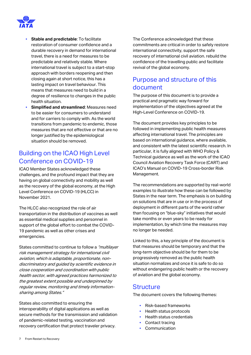

- **Stable and predictable**: To facilitate restoration of consumer confidence and a durable recovery in demand for international travel, there is a need for measures to be predictable and relatively stable. Where international travel is subject to a start-stop approach with borders reopening and then closing again at short notice, this has a lasting impact on travel behaviour. This means that measures need to build in a degree of resilience to changes in the public health situation.
- **Simplified and streamlined**: Measures need to be easier for consumers to understand and for carriers to comply with. As the world transitions from pandemic to endemic, those measures that are not effective or that are no longer justified by the epidemiological situation should be removed.

### Building on the ICAO High Level Conference on COVID-19

ICAO Member States acknowledged these challenges, and the profound impact that they are having on global connectivity and mobility as well as the recovery of the global economy, at the High Level Conference on COVID-19 (HLCC) in November 2021.

The HLCC also recognized the role of air transportation in the distribution of vaccines as well as essential medical supplies and personnel in support of the global effort to combat the COVID-19 pandemic as well as other crises and emergencies.

States committed to continue to follow a "multilayer" risk management strategy for international civil aviation, which is adaptable, proportionate, nondiscriminatory and guided by scientific evidence in close cooperation and coordination with public health sector, with agreed practices harmonized to the greatest extent possible and underpinned by regular review, monitoring and timely informationsharing among States."

States also committed to ensuring the interoperability of digital applications as well as secure methods for the transmission and validation of pandemic-related testing, vaccination and recovery certification that protect traveler privacy.

The Conference acknowledged that these commitments are critical in order to safely restore international connectivity, support the safe recovery of international civil aviation. rebuild the confidence of the travelling public and facilitate revival of the global economy.

### Purpose and structure of this document

The purpose of this document is to provide a practical and pragmatic way forward for implementation of the objectives agreed at the High-Level Conference on COVID-19.

The document provides key principles to be followed in implementing public health measures affecting international travel. The principles are based on international guidance, where available, and consistent with the latest scientific research. In particular, it is fully aligned with WHO Policy & Technical guidance as well as the work of the ICAO Council Aviation Recovery Task Force (CART) and ICAO's Manual on COVID-19 Cross-border Risk Management.

The recommendations are supported by real-world examples to illustrate how these can be followed by States in the near term. The emphasis is on building on solutions that are in use or in the process of deployment in different parts of the world rather than focusing on "blue-sky" initiatives that would take months or even years to be ready for implementation, by which time the measures may no longer be needed.

Linked to this, a key principle of the document is that measures should be temporary and that the long-term objective should be for them to be progressively removed as the public health situation normalizes and once it is safe to do so without endangering public health or the recovery of aviation and the global economy.

#### **Structure**

The document covers the following themes:

- Risk-based frameworks
- Health status protocols
- Health status credentials
- Contact tracing
- Communication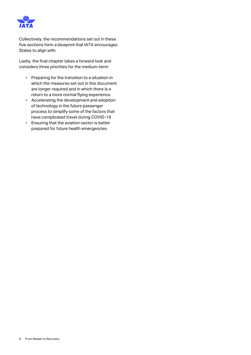

Collectively, the recommendations set out in these five sections form a blueprint that IATA encourages States to align with.

Lastly, the final chapter takes a forward look and considers three priorities for the medium-term:

- **•** Preparing for the transition to a situation in which the measures set out in this document are longer required and in which there is a return to a more normal flying experience.
- Accelerating the development and adoption of technology in the future passenger process to simplify some of the factors that have complicated travel during COVID-19
- **Ensuring that the aviation sector is better** prepared for future health emergencies.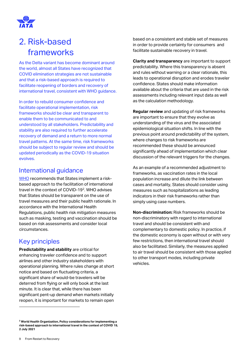

# <span id="page-8-0"></span>2. Risk-based frameworks

As the Delta variant has become dominant around the world, almost all States have recognized that COVID elimination strategies are not sustainable and that a risk-based approach is required to facilitate reopening of borders and recovery of international travel, consistent with WHO guidance.

In order to rebuild consumer confidence and facilitate operational implementation, risk frameworks should be clear and transparent to enable them to be communicated to and understood by all stakeholders. Predictability and stability are also required to further accelerate recovery of demand and a return to more normal travel patterns. At the same time, risk frameworks should be subject to regular review and should be updated periodically as the COVID-19 situation evolves.

#### International guidance

[WHO](https://www.who.int/publications/i/item/WHO-2019-nCoV-Policy-Brief-Risk-based-international-travel-2021.1) recommends that States implement a riskbased approach to the facilitation of international travel in the context of COVID-19<sup>2</sup>. WHO advises that States should be transparent on the use of travel measures and their public health rationale. In accordance with the International Health Regulations, public health risk mitigation measures such as masking, testing and vaccination should be based on risk assessments and consider local circumstances.

### Key principles

**Predictability and stability** are critical for enhancing traveler confidence and to support airlines and other industry stakeholders with operational planning. Where rules change at short notice and based on fluctuating criteria, a significant share of would-be travelers will be deterred from flying or will only book at the last minute. It is clear that, while there has been significant pent-up demand when markets initially reopen, it is important for markets to remain open

based on a consistent and stable set of measures in order to provide certainty for consumers and facilitate sustainable recovery in travel.

**Clarity and transparency** are important to support predictability. Where this transparency is absent and rules without warning or a clear rationale, this leads to operational disruption and erodes traveler confidence. States should make information available about the criteria that are used in the risk assessments including relevant input data as well as the calculation methodology.

**Regular review** and updating of risk frameworks are important to ensure that they evolve as understanding of the virus and the associated epidemiological situation shifts. In line with the previous point around predictability of the system, where changes to risk frameworks are recommended these should be announced significantly ahead of implementation which clear discussion of the relevant triggers for the changes.

As an example of a recommended adjustment to frameworks, as vaccination rates in the local population increase and dilute the link between cases and mortality, States should consider using measures such as hospitalizations as leading indicators in their risk frameworks rather than simply using case numbers.

**Non-discrimination:** Risk frameworks should be non-discriminatory with regard to international travel and should be consistent with and complementary to domestic policy. In practice, if the domestic economy is open without or with very few restrictions, then international travel should also be facilitated. Similarly, the measures applied to air travel should be consistent with those applied to other transport modes, including private vehicles.

**<sup>2</sup> World Health Organization, Policy considerations for implementing a risk-based approach to international travel in the context of COVID 19, 2 July 2021**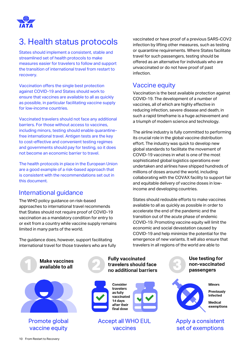

# <span id="page-9-0"></span>3. Health status protocols

States should implement a consistent, stable and streamlined set of health protocols to make measures easier for travelers to follow and support the transition of international travel from restart to recovery.

Vaccination offers the single best protection against COVID-19 and States should work to ensure that vaccines are available to all as quickly as possible, in particular facilitating vaccine supply for low-income countries.

Vaccinated travelers should not face any additional barriers. For those without access to vaccines, including minors, testing should enable quarantinefree international travel. Antigen tests are the key to cost-effective and convenient testing regimes and governments should pay for testing, so it does not become an economic barrier to travel.

The health protocols in place in the European Union are a good example of a risk-based approach that is consistent with the recommendations set out in this document.

#### International guidance

The WHO policy guidance on risk-based approaches to international travel recommends that States should not require proof of COVID-19 vaccination as a mandatory condition for entry to or exit from a country while vaccine supply remains limited in many parts of the world.

The guidance does, however, support facilitating international travel for those travelers who are fully

**Make vaccines** available to all



**Promote global** vaccine equity







**Fully vaccinated** 

travelers should face

no additional barriers

#### **Accept all WHO EUL** vaccines

vaccinated or have proof of a previous SARS-COV2 infection by lifting other measures, such as testing or quarantine requirements. Where States facilitate travel for such passengers, testing should be offered as an alternative for individuals who are unvaccinated or do not have proof of past infection.

#### Vaccine equity

Vaccination is the best available protection against COVID-19. The development of a number of vaccines, all of which are highly effective in reducing infection, severe disease and death, in such a rapid timeframe is a huge achievement and a triumph of modern science and technology.

The airline industry is fully committed to performing its crucial role in the global vaccine distribution effort. The industry was quick to develop new global standards to facilitate the movement of COVID-19 vaccines in what is one of the most sophisticated global logistics operations ever undertaken and airlines have shipped hundreds of millions of doses around the world, including collaborating with the COVAX facility to support fair and equitable delivery of vaccine doses in lowincome and developing countries.

States should redouble efforts to make vaccines available to all as quickly as possible in order to accelerate the end of the pandemic and the transition out of the acute phase of endemic COVID-19. Promoting vaccine equity will limit the economic and social devastation caused by COVID-19 and help minimize the potential for the emergence of new variants. It will also ensure that travelers in all regions of the world are able to

> Use testing for non-vaccinated passengers



**Minors** 

Previously infected

Medical exemptions

**Apply a consistent** set of exemptions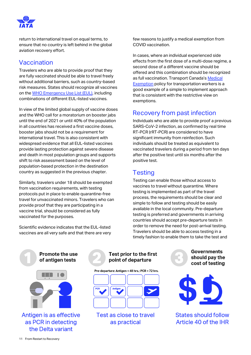

return to international travel on equal terms, to ensure that no country is left behind in the global aviation recovery effort.

### Vaccination

Travelers who are able to provide proof that they are fully vaccinated should be able to travel freely without additional barriers, such as country-based risk measures. States should recognize all vaccines on th[e WHO Emergency Use List \(EUL\),](https://extranet.who.int/pqweb/sites/default/files/documents/Status_COVID_VAX_11Nov2021.pdf) including combinations of different EUL-listed vaccines.

In view of the limited global supply of vaccine doses and the WHO call for a moratorium on booster jabs until the end of 2021 or until 40% of the population in all countries has received a first vaccine doses, booster jabs should not be a requirement for international travel. This is also consistent with widespread evidence that all EUL-listed vaccines provide lasting protection against severe disease and death in most population groups and supports shift to risk assessment based on the level of population-based protection in the destination country as suggested in the previous chapter.

Similarly, travelers under 18 should be exempted from vaccination requirements, with testing protocols put in place to enable quarantine-free travel for unvaccinated minors. Travelers who can provide proof that they are participating in a vaccine trial, should be considered as fully vaccinated for the purposes.

Scientific evidence indicates that the EUL-listed vaccines are all very safe and that there are very

few reasons to justify a medical exemption from COVID vaccination.

In cases, where an individual experienced side effects from the first dose of a multi-dose regime, a second dose of a different vaccine should be offered and this combination should be recognized as full vaccination. Transport Canada's [Medical](https://8188152c-f224-45cd-b842-efec1515e73e.filesusr.com/ugd/ef9c97_299d1042af124915af3a0b7d04cc875c.pdf)  [Exemption](https://8188152c-f224-45cd-b842-efec1515e73e.filesusr.com/ugd/ef9c97_299d1042af124915af3a0b7d04cc875c.pdf) policy for transportation workers is a good example of a simple to implement approach that is consistent with the restrictive view on exemptions.

### Recovery from past infection

Individuals who are able to provide proof a previous SARS-CoV-2 infection, as confirmed by real time RT-PCR (rRT-PCR) are considered to have significant immunity from reinfection. Such individuals should be treated as equivalent to vaccinated travelers during a period from ten days after the positive test until six months after the positive test.

### **Testing**

Testing can enable those without access to vaccines to travel without quarantine. Where testing is implemented as part of the travel process, the requirements should be clear and simple to follow and testing should be easily available in the local community. Pre-departure testing is preferred and governments in arriving countries should accept pre-departure tests in order to remove the need for post-arrival testing. Travelers should be able to access testing in a timely fashion to enable them to take the test and



#### Test prior to the first point of departure

Pre-departure: Antigen < 48 hrs.; PCR < 72 hrs.



**Test as close to travel** as practical





**States should follow** Article 40 of the IHR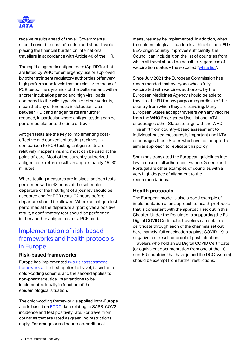

receive results ahead of travel. Governments should cover the cost of testing and should avoid placing the financial burden on international travellers in accordance with Article 40 of the IHR.

The rapid diagnostic antigen tests (Ag-RDTs) that are listed by WHO for emergency use or approved by other stringent regulatory authorities offer very high performance levels that are similar to those of PCR tests. The dynamics of the Delta variant, with a shorter incubation period and high viral loads compared to the wild-type virus or other variants, mean that any differences in detection rates between PCR and antigen tests are further reduced, in particular where antigen testing can be performed closer to the time of travel.

Antigen tests are the key to implementing costeffective and convenient testing regimes. In comparison to PCR testing, antigen tests are relatively inexpensive, and most can be used at the point-of-care. Most of the currently authorized antigen tests return results in approximately 15–30 minutes.

Where testing measures are in place, antigen tests performed within 48 hours of the scheduled departure of the first flight of a journey should be accepted and for PCR tests, 72 hours before departure should be allowed. Where an antigen test performed at the departure airport gives a positive result, a confirmatory test should be performed (either another antigen test or a PCR test).

### Implementation of risk-based frameworks and health protocols in Europe

#### **Risk-based frameworks**

Europe has implemented [two risk assessment](https://www.ecdc.europa.eu/en/current-risk-assessment-novel-coronavirus-situation)  [frameworks.](https://www.ecdc.europa.eu/en/current-risk-assessment-novel-coronavirus-situation) The first applies to travel, based on a color-coding scheme, and the second applies to non-pharmaceutical interventions to be implemented locally in function of the epidemiological situation.

The color-coding framework is applied intra-Europe and is based o[n ECDC](https://www.ecdc.europa.eu/en/covid-19/situation-updates) data relating to SARS-COV2 incidence and test positivity rate. For travel from countries that are rated as green, no restrictions apply. For orange or red countries, additional

measures may be implemented. In addition, when the epidemiological situation in a third (i.e. non-EU / EEA) origin country improves sufficiently, the Council can include it on the list of countries from which all travel should be possible, regardless of vaccination status – the so called "[white list](https://www.consilium.europa.eu/en/policies/coronavirus/covid-19-travel-into-the-eu/)".

Since July 2021 the European Commission has recommended that everyone who is fully vaccinated with vaccines authorized by the European Medicines Agency should be able to travel to the EU for any purpose regardless of the country from which they are traveling. Many European States accept travelers with any vaccine from the WHO Emergency Use List and IATA encourages other States to align with the WHO. This shift from country-based assessment to individual-based measures is important and IATA encourages those States who have not adopted a similar approach to replicate this policy.

Spain has translated the European guidelines into law to ensure full adherence. France, Greece and Portugal are other examples of countries with a very high degree of alignment to the recommendations.

#### **Health protocols**

The European model is also a good example of implementation of an approach to health protocols that is consistent with the approach set out in this Chapter. Under the Regulations supporting the EU Digital COVID Certificate, travelers can obtain a certificate through each of the channels set out here, namely: full vaccination against COVID-19, a negative test result or proof of past infection. Travelers who hold an EU Digital COVID Certificate (or equivalent documentation from one of the 18 non-EU countries that have joined the DCC system) should be exempt from further restrictions.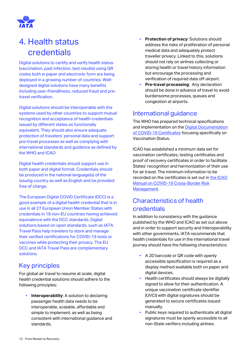

# <span id="page-12-0"></span>4. Health status credentials

Digital solutions to certify and verify health status (vaccination, past infection, test results) using QR codes both in paper and electronic form are being deployed in a growing number of countries. Welldesigned digital solutions have many benefits including user-friendliness, reduced fraud and pretravel verification.

Digital solutions should be interoperable with the systems used by other countries to support mutual recognition and acceptance of health credentials issued by different states as functionally equivalent, They should also ensure adequate protection of travelers' personal data and support pre-travel processes as well as complying with international standards and guidance as defined by the WHO and ICAO

Digital health credentials should support use in both paper and digital format. Credentials should be produced in the national language(s) of the issuing country as well as English and be provided free of charge.

The European Digital COVID Certificate (DCC) is a good example of a digital health credential that is in use in all 27 European Union Member States with credentials in 18 non-EU countries having achieved equivalence with the DCC standards. Digital solutions based on open standards, such as IATA Travel Pass help travelers to store and manage their verified certifications for COVID-19 tests or vaccines while protecting their privacy. The EU DCC and IATA Travel Pass are complementary solutions.

### Key principles

For global air travel to resume at scale, digital health credential solutions should adhere to the following principles:

**EXECUTE:** Interoperability: A solution to declaring passenger health data needs to be interoperable, scalable, affordable and simple to implement, as well as being consistent with international guidance and standards.

- Protection of privacy: Solutions should address the risks of proliferation of personal medical data and adequately protect traveller privacy. Linked to this, solutions should not rely on airlines collecting or storing health or travel history information but encourage the processing and verification of required data off-airport.
- **Pre-travel processing: Any declaration** should be done in advance of travel to avoid burdensome processes, queues and congestion at airports.

### International guidance

The WHO has prepared technical specifications and implementation on the [Digital Documentation](https://apps.who.int/iris/bitstream/handle/10665/343361/WHO-2019-nCoV-Digital-certificates-vaccination-2021.1-eng.pdf?sequence=1&isAllowed=y)  [of COVID-19 Certificates](https://apps.who.int/iris/bitstream/handle/10665/343361/WHO-2019-nCoV-Digital-certificates-vaccination-2021.1-eng.pdf?sequence=1&isAllowed=y) focusing specifically on Vaccination Status.

ICAO has established a minimum data set for vaccination certificates, testing certificates and proof of recovery certificates in order to facilitate States' recognition and harmonization of their use for air travel. The minimum information to be recorded on the certificates is set out i[n the ICAO](https://www.icao.int/safety/CAPSCA/PublishingImages/Pages/ICAO-Manuals/10152_manual_3rd_edition.en.pdf)  [Manual on COVID-19 Cross-Border Risk](https://www.icao.int/safety/CAPSCA/PublishingImages/Pages/ICAO-Manuals/10152_manual_3rd_edition.en.pdf)  [Management.](https://www.icao.int/safety/CAPSCA/PublishingImages/Pages/ICAO-Manuals/10152_manual_3rd_edition.en.pdf)

### Characteristics of health credentials

In addition to consistency with the guidance published by the WHO and ICAO as set out above and in order to support security and Interoperability with other governments, IATA recommends that health credentials for use in the international travel journey should have the following characteristics:

- A 2D barcode or QR code with openly accessible specification is required as a display method available both on paper and digital devices.
- Health certificates should always be digitally signed to allow for their authentication. A unique vaccination certificate identifier (UVCI) with digital signatures should be generated to secure certificates issued manually.
- Public keys required to authenticate all digital signatures must be openly accessible to all non-State verifiers including airlines.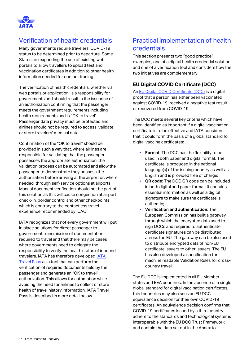

### Verification of health credentials

Many governments require travelers' COVID-19 status to be determined prior to departure. Some States are expanding the use of existing web portals to allow travellers to upload test and vaccination certificates in addition to other health information needed for contact tracing.

The verification of health credentials, whether via web portals or application, is a responsibility for governments and should result in the issuance of an authorization confirming that the passenger meets the government requirements including health requirements and is "OK to travel". Passenger data privacy must be protected and airlines should not be required to access, validate or store travelers' medical data.

Confirmation of the "OK to travel" should be provided in such a way that, where airlines are responsible for validating that the passenger possesses the appropriate authorization, the validation process can be automated and allow the passenger to demonstrate they possess the authorization before arriving at the airport or, where needed, through self-service options at airports. Manual document verification should not be part of this solution as this will cause congestion at airport check-in, border control and other checkpoints which is contrary to the contactless travel experience recommended by ICAO.

IATA recognizes that not every government will put in place solutions for direct passenger to government transmission of documentation required to travel and that there may be cases where governments need to delegate the responsibility to verify the health status of inbound travelers. IATA has therefore develope[d IATA](https://www.iata.org/en/programs/passenger/travel-pass/)  [Travel Pass](https://www.iata.org/en/programs/passenger/travel-pass/) as a tool that can perform the verification of required documents held by the passenger and generate an "OK to travel" authorization. This allows for automation while avoiding the need for airlines to collect or store health of travel history information. IATA Travel Pass is described in more detail below.

### Practical implementation of health credentials

This section presents two "good practice" examples, one of a digital health credential solution and one of a verification tool and considers how the two initiatives are complementary.

#### **EU Digital COVID Certificate (DCC)**

An [EU Digital COVID Certificate \(DCC\)](https://ec.europa.eu/info/live-work-travel-eu/coronavirus-response/safe-covid-19-vaccines-europeans/eu-digital-covid-certificate_en) is a digital proof that a person has either been vaccinated against COVID-19, received a negative test result or recovered from COVID-19.

The DCC meets several key criteria which have been identified as important if a digital vaccination certificate is to be effective and IATA considers that it could form the basis of a global standard for digital vaccine certificates:

- **Format**: The DCC has the flexibility to be used in both paper and digital format. The certificate is produced in the national language(s) of the issuing country as well as English and is provided free of charge;
- **QR code**: The DCC QR code can be included in both digital and paper format. It contains essential information as well as a digital signature to make sure the certificate is authentic;
- **Verification and authentication: The** European Commission has built a gateway through which the encrypted data used to sign DCCs and required to authenticate certificate signatures can be distributed across the EU. The gateway can be also used to distribute encrypted data of non-EU certificate issuers to other issuers. The EU has also developed a specification for machine readable Validation Rules for crosscountry travel.

The EU DCC is implemented in all EU Member states and EEA countries. In the absence of a single global standard for digital vaccination certificates, third countries may also seek an EU DCC equivalence decision for their own COVID-19 certificates. An equivalence decision confirms that COVID-19 certificates issued by a third country adhere to the standards and technological systems interoperable with the EU DCC Trust Framework and contain the data set out in the Annex to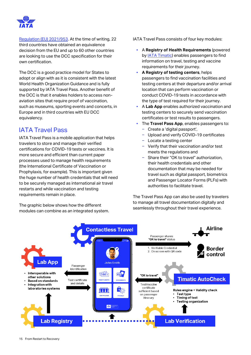

[Regulation \(EU\) 2021/953.](https://eur-lex.europa.eu/legal-content/EN/TXT/?uri=CELEX%3A32021R0953) At the time of writing, 22 third countries have obtained an equivalence decision from the EU and up to 60 other countries are looking to use the DCC specification for their own certification.

The DCC is a good practice model for States to adopt or align with as it is consistent with the latest World Health Organization Guidance and is fully supported by IATA Travel Pass. Another benefit of the DCC is that it enables holders to access nonaviation sites that require proof of vaccination, such as museums, sporting events and concerts, in Europe and in third countries with EU DCC equivalency.

### IATA Travel Pass

IATA Travel Pass is a mobile application that helps travelers to store and manage their verified certifications for COVID-19 tests or vaccines. It is more secure and efficient than current paper processes used to manage health requirements (the International Certificate of Vaccination or Prophylaxis, for example). This is important given the huge number of health credentials that will need to be securely managed as international air travel restarts and while vaccination and testing requirements remain in place.

The graphic below shows how the different modules can combine as an integrated system. IATA Travel Pass consists of four key modules:

- A **Registry of Health Requirements** (powered by [IATA Timatic\)](https://www.iata.org/en/publications/timatic/) enables passengers to find information on travel, testing and vaccine requirements for their journey.
- **A Registry of testing centers**, helps passengers to find vaccination facilities and testing centers at their departure and/or arrival location that can perform vaccination or conduct COVID-19 tests in accordance with the type of test required for their journey.
- A **Lab App** enables authorized vaccination and testing centers to securely send vaccination certificates or test results to passengers.
- The Travel Pass App, enables passengers to:
	- ‒ Create a 'digital passport',
	- ‒ Upload and verify COVID-19 certificates
	- Locate a testing center
	- ‒ Verify that their vaccination and/or test meets the regulations and
	- Share their "OK to travel" authorization, their health credentials and other documentation that may be needed for travel such as digital passport, biometrics and Passenger Locator Forms (PLFs) with authorities to facilitate travel.

The Travel Pass App can also be used by travelers to manage all travel documentation digitally and seamlessly throughout their travel experience.

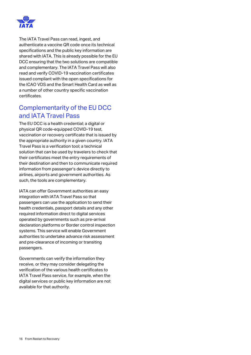

The IATA Travel Pass can read, ingest, and authenticate a vaccine QR code once its technical specifications and the public key information are shared with IATA. This is already possible for the EU DCC ensuring that the two solutions are compatible and complementary. The IATA Travel Pass will also read and verify COVID-19 vaccination certificates issued compliant with the open specifications for the ICAO VDS and the Smart Health Card as well as a number of other country specific vaccination certificates.

### Complementarity of the EU DCC and IATA Travel Pass

The EU DCC is a health credential; a digital or physical QR code-equipped COVID-19 test, vaccination or recovery certificate that is issued by the appropriate authority in a given country. IATA Travel Pass is a verification tool; a technical solution that can be used by travelers to check that their certificates meet the entry requirements of their destination and then to communicate required information from passenger's device directly to airlines, airports and government authorities. As such, the tools are complementary.

IATA can offer Government authorities an easy integration with IATA Travel Pass so that passengers can use the application to send their health credentials, passport details and any other required information direct to digital services operated by governments such as pre-arrival declaration platforms or Border control inspection systems. This service will enable Government authorities to undertake advance risk assessment and pre-clearance of incoming or transiting passengers.

Governments can verify the information they receive, or they may consider delegating the verification of the various health certificates to IATA Travel Pass service, for example, when the digital services or public key information are not available for that authority.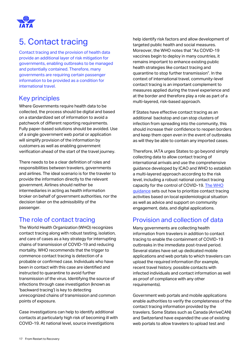

# <span id="page-16-0"></span>5. Contact tracing

Contact tracing and the provision of health data provide an additional layer of risk mitigation for governments, enabling outbreaks to be managed and potentially contained. Therefore, many governments are requiring certain passenger information to be provided as a condition for international travel.

### Key principles

Where Governments require health data to be collected, the process should be digital and based on a standardized set of information to avoid a patchwork of different reporting requirements. Fully paper-based solutions should be avoided. Use of a single government web portal or application will simplify provision of the information by customers as well as enabling government verification ahead of the start of the travel journey.

There needs to be a clear definition of roles and responsibilities between travelers, governments and airlines. The ideal scenario is for the traveler to provide the information directly to the relevant government. Airlines should neither be intermediaries in acting as health information broker on behalf of government authorities, nor the decision taker on the admissibility of the passenger.

### The role of contact tracing

The World Health Organization (WHO) recognizes contact tracing along with robust testing, isolation, and care of cases as a key strategy for interrupting chains of transmission of COVID-19 and reducing mortality. WHO recommends that the trigger to commence contact tracing is detection of a probable or confirmed case. Individuals who have been in contact with this case are identified and instructed to quarantine to avoid further transmission of the virus. Identifying the source of infections through case investigation (known as 'backward tracing') is key to detecting unrecognized chains of transmission and common points of exposure.

Case investigations can help to identify additional contacts at particularly high risk of becoming ill with COVID-19. At national level, source investigations

help identify risk factors and allow development of targeted public health and social measures. Moreover, the WHO notes that "As COVID-19 vaccines begin to deploy in many countries, it remains important to enhance existing public health strategies like contact tracing and quarantine to stop further transmission". In the context of international travel, community-level contact tracing is an important complement to measures applied during the travel experience and at the border and therefore play a role as part of a multi-layered, risk-based approach.

If States have effective contact tracing as an additional backstop and can stop clusters of infection from spreading into the community, this should increase their confidence to reopen borders and keep them open even in the event of outbreaks as will they be able to contain any imported cases.

Therefore, IATA urges States to go beyond simply collecting data to allow contact tracing of international arrivals and use the comprehensive guidance developed by ICAO and WHO to establish a multi-layered approach according to the risk level, including a robust national contact tracing capacity for the control of COVID-19. The WHO [guidance](https://www.who.int/publications/i/item/contact-tracing-in-the-context-of-covid-19) sets out how to prioritize contact tracing activities based on local epidemiological situation as well as advice and support on community engagement, data, and digital applications.

### Provision and collection of data

Many governments are collecting health information from travelers in addition to contact tracing to enable the containment of COVID-19 outbreaks in the immediate post-travel period. Several states have set up dedicated mobile applications and web portals to which travelers can upload the required information (for example, recent travel history, possible contacts with infected individuals and contact information as well as proof of compliance with any other requirements).

Government web portals and mobile applications enable authorities to verify the completeness of the contact tracing information provided by the travelers. Some States such as Canada (ArriveCAN) and Switzerland have expanded the use of existing web portals to allow travelers to upload test and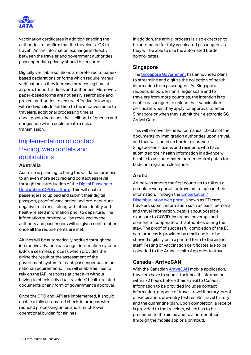

vaccination certificates in addition enabling the authorities to confirm that the traveler is "OK to travel". As the information exchange is directly between the traveler and government authorities, passenger data privacy should be ensured.

Digitally verifiable solutions are preferred to paperbased declarations or forms which require manual verification as they increase processing time at airports for both airlines and authorities. Moreover, paper-based forms are not easily searchable and prevent authorities to ensure effective follow up with individuals. In addition to the inconvenience to travelers, additional processing time at checkpoints increases the likelihood of queues and congestion which could create a risk of transmission.

### Implementation of contact tracing, web portals and applications

#### **Australia**

Australia is planning to bring the validation process to an even more secured and contactless level through the introduction of the [Digital Passenger](https://minister.homeaffairs.gov.au/KarenAndrews/Pages/new-digital-platform-to-support-reopening-of-the-international-border.aspx)  [Declaration \(DPD\) platform.](https://minister.homeaffairs.gov.au/KarenAndrews/Pages/new-digital-platform-to-support-reopening-of-the-international-border.aspx) This will enable passengers to upload and submit their digital passport, proof of vaccination and pre-departure negative test result along with other identity and health-related information prior to departure. The information submitted will be reviewed by the authority and passengers will be given confirmation once all the requirements are met.

Airlines will be automatically notified through the interactive advance passenger information system (iAPI), a seamless process which provides the airline the result of the assessment of the government system for each passenger based on national requirements. This will enable airlines to rely on the iAPI response at check-in without having to check individual travelers' health-related documents or any form of government's approval.

Once the DPD and iAPI are implemented, it should enable a fully automated check-in process with reduced processing times and a much lower operational burden for airlines.

In addition, the arrival process is also expected to be automated for fully vaccinated passengers as they will be able to use the automated border control gates.

#### **Singapore**

The [Singapore Government](https://www.ica.gov.sg/news-and-publications/newsroom/media-release/ica-provides-more-secure-safer-and-more-seamless-immigration-clearance-as-singapore-reopens-its-borders) has announced plans to streamline and digitize the collection of health information from passengers. As Singapore reopens its borders on a larger scale and to travelers from more countries, the intention is to enable passengers to upload their vaccination certificate when they apply for approval to enter Singapore or when they submit their electronic SG Arrival Card.

This will remove the need for manual checks of the documents by immigration authorities upon arrival, and thus will speed up border clearance. Singaporean citizens and residents who have submitted their health information in advance will be able to use automated border control gates for faster immigration clearance.

#### **Aruba**

Aruba was among the first countries to roll out a complete web portal for travelers to upload their information. Through the [Embarkation /](https://edcardaruba.aw/)  [Disembarkation web portal,](https://edcardaruba.aw/) known as ED card, travelers submit information such as basic personal and travel information, details about possible exposure to COVID, insurance coverage and consent to cooperate with authorities during the stay. The proof of successful completion of the ED card process is provided by email and is to be showed digitally or in a printed form to the airline staff. Testing or vaccination certificates are to be uploaded to the Aruba Health App prior to travel.

#### **Canada - ArriveCAN**

With the Canadia[n ArriveCAN](https://www.canada.ca/en/public-health/services/diseases/coronavirus-disease-covid-19/arrivecan.html) mobile application, travelers have to submit their health information within 72 hours before their arrival to Canada. Information to be provided includes contact information, purpose of travel, travel itinerary, proof of vaccination, pre-entry test results, travel history and the quarantine plan. Upon completion, a receipt is provided to the travelers, which has to be presented to the airline and to a border officer (through the mobile app or a printout).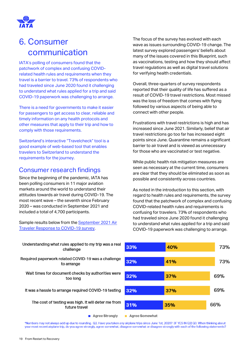

# <span id="page-18-0"></span>6. Consumer communication

IATA's polling of consumers found that the patchwork of complex and confusing COVIDrelated health rules and requirements when they travel is a barrier to travel. 73% of respondents who had traveled since June 2020 found it challenging to understand what rules applied for a trip and said COVID-19 paperwork was challenging to arrange.

There is a need for governments to make it easier for passengers to get access to clear, reliable and timely information on any health protocols and other measures that apply to their trip and how to comply with those requirements.

Switzerland's interactive "Travelcheck" tool is a good example of web-based tool that enables travelers to Switzerland to understand the requirements for the journey.

### Consumer research findings

Since the beginning of the pandemic, IATA has been polling consumers in 11 major aviation markets around the world to understand their attitudes towards air travel during COVID-19. The most recent wave – the seventh since February 2020 – was conducted in September 2021 and included a total of 4,700 participants.

Sample results below from the September 2021 Air [Traveler Response to COVID-19 survey.](mailto:corpcomms@iata.org?subject=State%20interest%20in%20IATA)

The focus of the survey has evolved with each wave as issues surrounding COVID-19 change. The latest survey explored passengers' beliefs about many of the issues covered in this Blueprint, such as vaccinations, testing and how they should affect travel regulations as well as digital travel solutions for verifying health credentials.

Overall, three-quarters of survey respondents reported that their quality of life has suffered as a result of COVID-19 travel restrictions. Most missed was the loss of freedom that comes with flying followed by various aspects of being able to connect with other people.

Frustrations with travel restrictions is high and has increased since June 2021. Similarly, belief that air travel restrictions go too far has increased eight points since June. Quarantine remains a significant barrier to air travel and is viewed as unnecessary for those who are vaccinated or test negative.

While public health risk mitigation measures are seen as necessary at the current time, consumers are clear that they should be eliminated as soon as possible and consistently across countries.

As noted in the introduction to this section, with regard to health rules and requirements, the survey found that the patchwork of complex and confusing COVID-related health rules and requirements is confusing for travelers. 73% of respondents who had traveled since June 2020 found it challenging to understand what rules applied for a trip and said COVID-19 paperwork was challenging to arrange.



Understanding what rules applied to my trip was a real challenge

Required paperwork related COVID-19 was a challenge to arrange

Wait times for document checks by authorities were too long

It was a hassle to arrange required COVID-19 testing

The cost of testing was high. It will deter me from future travel

■ Agree Strongly

Agree Somewhat

\*Numbers may not always add up due to rounding. Q2. Have you taken any airplane trips since June 1st, 2020? [IF YES IN Q2] Q3. When thinking about your most recent airplane trip, do you agree strongly, agree somewhat, disagree somewhat or disagree strongly with each of the following statements?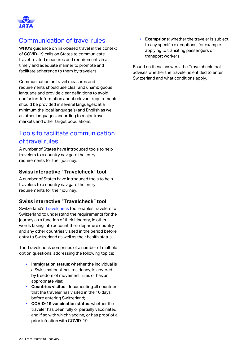

### Communication of travel rules

WHO's guidance on risk-based travel in the context of COVID-19 calls on States to communicate travel-related measures and requirements in a timely and adequate manner to promote and facilitate adherence to them by travelers.

Communication on travel measures and requirements should use clear and unambiguous language and provide clear definitions to avoid confusion. Information about relevant requirements should be provided in several languages: at a minimum the local language(s) and English as well as other languages according to major travel markets and other target populations.

### Tools to facilitate communication of travel rules

A number of States have introduced tools to help travelers to a country navigate the entry requirements for their journey.

#### **Swiss interactive "Travelcheck" tool**

A number of States have introduced tools to help travelers to a country navigate the entry requirements for their journey.

#### **Swiss interactive "Travelcheck" tool**

Switzerland's [Travelcheck](https://travelcheck.admin.ch/home) tool enables travelers to Switzerland to understand the requirements for the journey as a function of their itinerary, in other words taking into account their departure country and any other countries visited in the period before entry to Switzerland as well as their health status.

The Travelcheck comprises of a number of multiple option questions, addressing the following topics:

- **Immigration status**: whether the individual is a Swiss national, has residency, is covered by freedom of movement rules or has an appropriate visa;
- **Countries visited**: documenting all countries that the traveler has visited in the 10 days before entering Switzerland;
- **COVID-19 vaccination status**: whether the traveler has been fully or partially vaccinated, and if so with which vaccine, or has proof of a prior infection with COVID-19.

▪ **Exemptions**: whether the traveler is subject to any specific exemptions, for example applying to transiting passengers or transport workers.

Based on these answers, the Travelcheck tool advises whether the traveler is entitled to enter Switzerland and what conditions apply.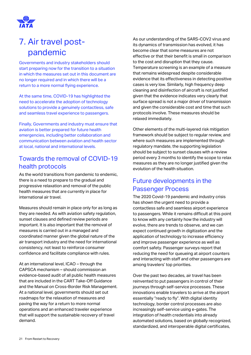

# <span id="page-20-0"></span>7. Air travel postpandemic

Governments and industry stakeholders should start preparing now for the transition to a situation in which the measures set out in this document are no longer required and in which there will be a return to a more normal flying experience.

At the same time, COVID-19 has highlighted the need to accelerate the adoption of technology solutions to provide a genuinely contactless, safe and seamless travel experience to passengers.

Finally, Governments and industry must ensure that aviation is better prepared for future health emergencies, including better collaboration and communication between aviation and health sector at local, national and international levels.

### Towards the removal of COVID-19 health protocols

As the world transitions from pandemic to endemic, there is a need to prepare to the gradual and progressive relaxation and removal of the public health measures that are currently in place for international air travel.

Measures should remain in place only for as long as they are needed. As with aviation safety regulation, sunset clauses and defined review periods are important. It is also important that the removal of measures is carried out in a managed and coordinated manner given the global nature of the air transport industry and the need for international consistency, not least to reinforce consumer confidence and facilitate compliance with rules.

At an international level, ICAO – through the CAPSCA mechanism – should commission an evidence-based audit of all public health measures that are included in the CART Take-Off Guidance and the Manual on Cross-Border Risk Management. At a national level, governments should set out roadmaps for the relaxation of measures and paving the way for a return to more normal operations and an enhanced traveler experience that will support the sustainable recovery of travel demand.

As our understanding of the SARS-COV2 virus and its dynamics of transmission has evolved, it has become clear that some measures are not effective or that their benefit is small in comparison to the cost and disruption that they cause. Temperature screening is an example of a measure that remains widespread despite considerable evidence that its effectiveness in detecting positive cases is very low. Similarly, high frequency deep cleaning and disinfection of aircraft is not justified given that the evidence indicates very clearly that surface spread is not a major driver of transmission and given the considerable cost and time that such protocols involve. These measures should be relaxed immediately.

Other elements of the multi-layered risk mitigation framework should be subject to regular review, and where such measures are implemented through regulatory mandate, the supporting legislation should be subject to sunset clauses with a review period every 3 months to identify the scope to relax measures as they are no longer justified given the evolution of the health situation.

### Future developments in the Passenger Process

The 2020 Covid-19 pandemic and industry crisis has shown the urgent need to provide a contactless safe and seamless airport experience to passengers. While it remains difficult at this point to know with any certainty how the industry will evolve, there are trends to observe, and we can expect continued growth in digitization and the application of technology to increase efficiency and improve passenger experience as well as comfort safety. Passenger surveys report that reducing the need for queueing at airport counters and interacting with staff and other passengers are among travelers' top priorities.

Over the past two decades, air travel has been reinvented to put passengers in control of their journeys through self-service processes. These innovations enable travelers to arrive at the airport essentially "ready to fly". With digital identity technology, border control processes are also increasingly self-service using e-gates. The integration of health credentials into already automated solutions, based on globally recognized, standardized, and interoperable digital certificates,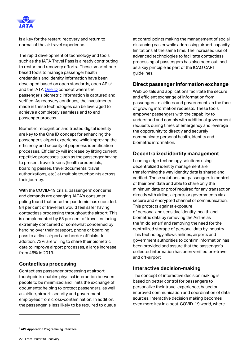

is a key for the restart, recovery and return to normal of the air travel experience.

The rapid development of technology and tools such as the IATA Travel Pass is already contributing to restart and recovery efforts. These smartphone based tools to manage passenger health credentials and identity information have been developed based on open standards, open APIs<sup>3</sup> and the IATA [One ID](https://www.iata.org/en/programs/passenger/one-id/) concept where the passenger's biometric information is captured and verified. As recovery continues, the investments made in these technologies can be leveraged to achieve a completely seamless end to end passenger process.

Biometric recognition and trusted digital identity are key to the One ID concept for enhancing the passenger's airport experience while improving the efficiency and security of paperless identification processes. Efficiency will increase by lifting current repetitive processes, such as the passenger having to present travel tokens (health credentials, boarding passes, travel documents, travel authorizations, etc.) at multiple touchpoints across their journey.

With the COVID-19 crisis, passengers' concerns and demands are changing. IATA's consumer poling found that once the pandemic has subsided, 84 per cent of travellers would feel safer having contactless processing throughout the airport. This is complemented by 65 per cent of travellers being extremely concerned or somewhat concerned by handing over their passport, phone or boarding pass to airline, airport and border officials. In addition, 73% are willing to share their biometric data to improve airport processes, a large increase from 46% in 2019.

#### **Contactless processing**

Contactless passenger processing at airport touchpoints enables physical interaction between people to be minimized and limits the exchange of documents; helping to protect passengers, as well as airline, airport, security and government employees from cross-contamination. In addition, the passenger is less likely to be required to queue

at control points making the management of social distancing easier while addressing airport capacity limitations at the same time. The increased use of advanced technologies to facilitate contactless processing of passengers has also been outlined as a key principle as part of the ICAO CART guidelines.

#### **Direct passenger information exchange**

Web portals and applications facilitate the secure and efficient exchange of information from passengers to airlines and governments in the face of growing information requests. These tools empower passengers with the capability to understand and comply with additional government requests during times of emergency and leverage the opportunity to directly and securely communicate personal health, identity and biometric information.

#### **Decentralized identity management**

Leading edge technology solutions using decentralized identity management are transforming the way identity data is shared and verified. These solutions put passengers in control of their own data and able to share only the minimum data or proof required for any transaction directly with airline, airports or governments via a secure and encrypted channel of communication. This protects against exposure of personal and sensitive identity, health and biometric data by removing the Airline as the 'middleman' and removing the need for the centralized storage of personal data by industry. This technology allows airlines, airports and government authorities to confirm information has been provided and assure that the passenger's collected information has been verified pre-travel and off-airport

#### **Interactive decision-making**

The concept of interactive decision making is based on better control for passengers to personalize their travel experience, based on improved communication and coordination of data sources. Interactive decision making becomes even more key in a post-COVID-19 world, where

**<sup>3</sup> API: Application Programming Interface**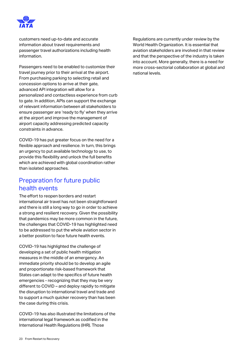

customers need up-to-date and accurate information about travel requirements and passenger travel authorizations including health information.

Passengers need to be enabled to customize their travel journey prior to their arrival at the airport. From purchasing parking to selecting retail and concession options to arrive at their gate, advanced API integration will allow for a personalized and contactless experience from curb to gate. In addition, APIs can support the exchange of relevant information between all stakeholders to ensure passenger are 'ready to fly' when they arrive at the airport and improve the management of airport capacity addressing predicted capacity constraints in advance.

COVID-19 has put greater focus on the need for a flexible approach and resilience. In turn, this brings an urgency to put available technology to use, to provide this flexibility and unlock the full benefits which are achieved with global coordination rather than isolated approaches.

### Preparation for future public health events

The effort to reopen borders and restart international air travel has not been straightforward and there is still a long way to go in order to achieve a strong and resilient recovery. Given the possibility that pandemics may be more common in the future, the challenges that COVID-19 has highlighted need to be addressed to put the whole aviation sector in a better position to face future health events.

COVID-19 has highlighted the challenge of developing a set of public health mitigation measures in the middle of an emergency. An immediate priority should be to develop an agile and proportionate risk-based framework that States can adapt to the specifics of future health emergencies - recognizing that they may be very different to COVID – and deploy rapidly to mitigate the disruption to international travel and trade and to support a much quicker recovery than has been the case during this crisis.

COVID-19 has also illustrated the limitations of the international legal framework as codified in the International Health Regulations (IHR). Those

Regulations are currently under review by the World Health Organization. It is essential that aviation stakeholders are involved in that review and that the perspective of the industry is taken into account. More generally, there is a need for more cross-sectorial collaboration at global and national levels.